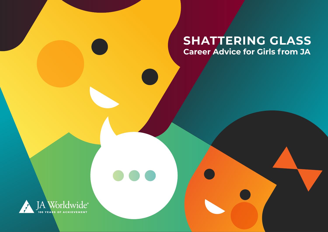#### **SHATTERING GLASS Career Advice for Girls from JA**

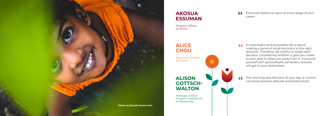**f** There are lessons to learn at every stage of your career. career.

A meaningful and purposeful life is about **"** making a series of small decisions in the right direction. Therefore, be careful to weigh each decision, considering whether it gets you closer to your goal or takes you away from it. Surround yourself with good people, persevere, and you will get to your destination.

The morning sets the tone of your day. A routine can boost positive attitude and productivity.

**"**

#### **AKOSUA ESSUMAN**

Program Officer JA Africa

**ALICE CHOU**

Executive Director

JA China

#### **ALISON GOTTSCH-WALTON**

Manager, Global Program Operations JA Worldwide

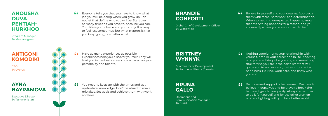#### **BRANDIE CONFORTI**

Global Chief Development Officer JA Worldwide

### **BRITTNEY WYNNYK**

Coordinator of Development JA Southern Alberta (Canada)

## **BRUNA GALLO**

Operations and Communication Manager JA Brazil

**f** Believe in yourself and your dreams. Approach<br>them with focus, hard work, and determinatior<br>When something unexpected happens, know them with focus, hard work, and determination. When something unexpected happens, know that everything happens for a reason, and you

Have as many experiences as possible. Experiences help you discover yourself. They will lead you to the best career choice based on your personality and talents.

**16** Nothing supplements your relationship with<br>yourself, both in your career and in life. Know<br>who you are, liking who you are, and remaini yourself, both in your career and in life. Knowing who you are, liking who you are, and remaining true to who you are is the north star that will guide you to success and, just as importantly, happiness. Be kind, work hard, and know who you are!

You need to keep up with the times and get up-to-date knowledge. Don't be afraid to make mistakes. Set goals and achieve them with work **11** Be brave and support other women. We have to believe in ourselves and be brave to break the barries of gender inequality. Always remember believe in ourselves and be brave to break the barries of gender inequality. Always remember to do it for yourself and for the other women who are fighting with you for a better world.

and love.

Everyone tells you that you have to know what job you will be doing when you grow up—do not let that define who you will be. Start over as many times as you have to, because you can. Your life is your choice and yours only. It is okay to feel lost sometimes, but what matters is that you keep going, no matter what. **"**

are exactly where you are supposed to be.

**"**

**"**

#### **ANOUSHA DUVA PENTIAH-HURKHOO**

Program Manager JA Mascareignes

# **ANTIGONI**

## **KOMODIKI**

CEO JA Cyprus

#### **AYNA BAYRAMOVA**

Executive Director JA Turkmenistan

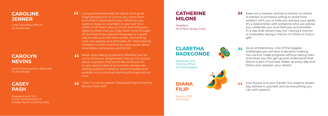$\mathbf{f}$  Seek out a mentor, and be a mentor to others. A mentor is someone willing to share their wisdom with you to help you achieve your goals. It's a relationship with someone who can advise you, celebrate you, and hold you accountable in a way that others may not. Having a mentor is invaluable; being a mentor to others is truly a gift!

As an entrepreneur, one of the biggest challenges you will face is decision-making. You cannot make progress without taking risks, and when you fail, get up and understand that failure is part of success. Wake up every day and follow your passion, your dream.

Your future is in your hands! You need to dream big, believe in yourself, and do everything you can with passion.

#### **CATHERINE MILONE**

President JA of New Jersey (USA)

#### **CLARETHA RADEGONDE**

Education and Training Officer JA Mascareignes

**DIANA** 

**FILIP**

**""**  $66$ 

Deputy CEO JA Europe

- Living somewhere else for some time gives huge perspective on where you come from and what's important to you. Whether you work or study or volunteer or just visit for a while, it will teach you so much and bring you opportunities that you may never have thought of. And learning a second language is a great way to take you into new worlds, connecting with new people and attitudes. An international mindset is what is behind so many great ideas, inventions, companies, and NGOs. **"**
- Never stop asking questions! Whether you've  $C<sub>c</sub>$ **""** come across an assignment that you're unclear about, a project that you'd like to be put on, or you want a raise or promotion, always ask. Asking questions helps to avoid mistakes and enables us to continue learning throughout our lives.
- "Can't" is not an option. Keep pushing forward to  $C<sub>c</sub>$ be your best self!

**"**

#### **CAROLINE JENNER**

Chief Operating Officer JA Worldwide

#### **CAROLYN NEVINS**

Senior Development Associate JA Worldwide

#### **CASEY PASH**

President and CEO Junior Achievement of Greater South Carolina (USA)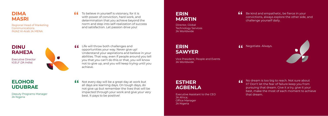**ff** Not every day will be a great day at work but<br>all days are learning days. On tough days, do<br>not give up but remember the lives that will all days are learning days. On tough days, do not give up but remember the lives that will be impacted through your work and give your very best. It pays to be positive!

To believe in yourself is visionary, for it is with power of conviction, hard work, and determination that you achieve beyond the norm and step into self-realization of success and satisfaction. Let passion drive you! **"**

Life will throw both challenges and opportunities your way. Never give up! Understand your aspirations and believe in your abilities. That way, even if people around you tell you that you can't do this or that, you will know not to give up, and you will keep trying until you achieve. **"**

**f** Be kind and empathetic, be fierce in your convictions, always explore the other side, challenge yourself daily. convictions, always explore the other side, and challenge yourself daily.

**11** Negotiate. Always.



#### **DIMA MASRI**

Regional Head of Marketing Communications INJAZ Al-Arab JA MENA

#### **DINU RAHEJA**

Executive Director tGELF (JA India)



#### **ELOHOR UDUBRAE**

Deputy Programs Manager JA Nigeria

No dream is too big to reach. Not sure about it? Don't let the fear of failure keep you from pursuing that dream. Give it a try, give it your best, make the most of each moment to achieve that dream.

# **"**

#### **ERIN MARTIN**

Director, Global Technology Services JA Worldwide

**ERIN SAWYER**

Vice President, People and Events JA Worldwide

#### **ESTHER AGBENLA**

Executive Assistant to the CEO JA Africa; Office Manager JA Nigeria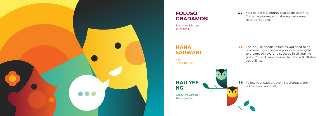

#### **FOLUSO GBADAMOSI**

Executive Director JA Nigeria

**CEO** INJAZ Bahrain

#### **HANA SARWANI**

**HAU YEE NG**

Executive Director JA Singapore

 $\bullet$   $\blacktriangledown$ 

**11** Your career is a journey that keeps evolving.<br>
Enjoy the journey and take any necessary<br>
detours required. Enjoy the journey and take any necessary detours required.

**11** Life is full of opportunities, all you need to do is believe in yourself and your inner strengths to dream, achieve, and succeed in all your life is believe in yourself and your inner strengths to dream, achieve, and succeed in all your life goals. You will learn. You will fail. You will fall. And you will rise.



**ff** Follow your passion, even if it changes. Stick with it. You can do it! with it. You can do it!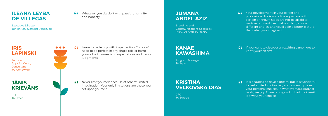#### **ILEANA LEYBA DE VILLEGAS**

Executive Director Junior Achievement Venezuela

#### **JUMANA ABDEL AZIZ**

Branding and Communications Specialist INJAZ Al-Arab JA MENA

#### **IRIS LAPINSKI**

Founder Apps for Good; **Consultant** JA Worldwide

#### **16** Whatever you do, do it with passion, humility, **TUMANA**<br>
and honesty. **ABDEL AZIZ** and honesty.

Learn to be happy with imperfection. You don't need to be perfect in any single role or harm yourself with unrealistic expectations and harsh judgments. **"** Learn to be happy with imperfection. You don't<br>
need to be perfect in any single role or harm<br>
yourself with unrealistic expectations and harsh<br> **"WAWASHIMA"** 

**KANAE** 

**KAWASHIMA**

Program Manager

JA Japan

#### **JĀNIS KRIEVĀNS**

CEO JA Latvia



## **KRISTINA VELKOVSKA DIAS**

CFO JA Europe  $\int$  If you want to discover an exciting career, get to know yourself first.

 $\left| \right|$  It is beautiful to have a dream, but it is wonderful to feel excited, motivated, and ownership over your personal choices. In whatever you study or work, feel joy. There is no good or bad choice—it is always your choice.

Your development in your career and professional life is not a linear process with certain or known steps. Do not be afraid to venture outward. Learn about things from different angles, and you'll gain a better picture than what you imagined.

Never limit yourself because of others' limited imagination. Your only limitations are those you set upon yourself. **" "**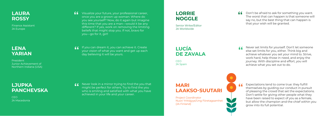#### **LORRIE NOGGLE**

Senior Writer/Editor JA Worldwide

#### **LAURA ROSSY**

Finance Assistant JA Europe

**LUCÍA** 

**DE ZAVALA**

CEO JA Spain

**CEO** JA Macedonia **MARI LAAKSO-SUUTARI**

Project Coordinator Nuori Yrittäjyys/Ung Företagsamhet (JA Finland)



**66** Don't be afraid to ask for something you want. The worst that can happen is that someone will say no, but the best thing that can happen is that your wish will be granted.

#### **LJUPKA PANCHEVSKA**

- Visualize your future, your professional career, once you are a grown up woman: Where do **11** Visualize your future, your professional career, **" All LORRIE**<br>
once you are a grown up woman: Where do<br>
you see yourself? Now, do it again but imagine **NOGGLE** this time that you are a man—would it be any different? If yes, work on removing the limiting beliefs that might stop you. If not, bravo for you—go for it, girl!
- If you can dream it, you can achieve it. Create your vision of what you want and get up each day believing it will be yours. **"** If you can dream it, you can achieve it. Create<br>
your vision of what you want and get up each<br>
day believing it will be yours.

Never set limits for yourself. Don't let someone else set limits for you, either. Think big and achieve whatever you set your mind to. Strive, work hard, help those in need, and enjoy the journey. With discipline and effort, you will achieve what you set out to do.

Never look in a mirror trying to find the you that might be perfect for others. Try to find the you The Markov who is smiling and satisfied with what you have **"WARI"**<br>
WARI Who is smiling and satisfied with what you have **LAAKSO-SUUTARI** achieved in your life and your career.

Expectations tend to come true: they fulfill themselves by guiding our conduct in pursuit of pleasing the crowd that set the expectations. Don't settle for giving other people what they have been raised to expect of you as a female, but allow the champion and the chief within you grow into its full potential.

#### **LENA YARIAN**

President Junior Achievement of Northern Indiana (USA)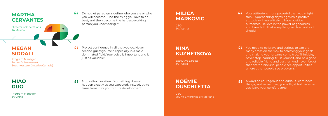#### **MILICA MARKOVIC**

**CEO** JA Austria

#### **NINA KUZNETSOVA**

Executive Director JA Russia

### **NOÉMIE DUSCHLETTA**

CEO Young Enterprise Switzerland

Project confidence in all that you do. Never second guess yourself, especially in a male-Gas Project confidence in all that you do. Never<br>
second guess yourself, especially in a male-<br>
dominated field. Your voice is important and is **"AUZNETSOVA"** just as valuable!

**Stop self-accusation if something doesn't** happen exactly as you expected. Instead, try to learn from it for your future development. **"** Stop self-accusation if something doesn't<br>
happen exactly as you expected. Instead, try to<br>
learn from it for your future development.

You need to be brave and curious to explore many areas on the way to achieving your goals and making your dreams come true. Think big, never stop learning, trust yourself, and be a good and reliable friend and partner. And never forget that entrepreneurial people see opportunities where other people see problems.



Your attitude is more powerful than you might think. Approaching anything with a positive attitude will more likely to have positive outcomes. Believe in the power of goodness, and have faith that everything will turn out as it should.

Always be courageous and curious, learn new things, and remember, you will get further when you leave your comfort zone.

**MARTHA** 

**CERVANTES**

Director of Operations

JA Mexico

## **MEGAN SIDDALL**

Program Manager Junior Achievement Southwestern Ontario (Canada)

**MIAO GUO**

Program Manager JA China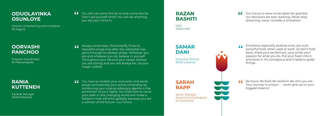**f** You did not come this far to only come this far.<br>Don't sell yourself short! You can do anything<br>you set your mind to. Don't sell yourself short! You can do anything you set your mind to.

Always remember, the butterfly finds its beautiful wings only after the caterpillar has gone through its darkest phase. Wherever you are and whatever you do, believe in yourself. Throughout your life and your career, believe you are strong and you will always be. Let your magic unfold! **"**

**f** Our future is never to be taken for granted,<br>
our decisions are ever evolving. Never stop<br>
dreaming, never consider a limitation! our decisions are ever evolving. Never stop dreaming, never consider a limitation!

You have to reclaim your economic and social power and exercise your active citizenship by reinforcing your roles as advocacy agents in the promotion of your rights. You shall start to carve your path in this changing world and make a footprint that will echo globally because you are a women of the future—our future. **"**

**RAZAN BASHITI**

CEO INJAZ UAE

**SAMAR DANI**

Executive Director INJAZ Lebanon

**SARAH RAPP**

Senior Manager Alumni and Campaigns JA Worldwide

Emotions, especially positive ones, are such powerful tools when used at work. So don't hold back, share your excitement, your pride, your passion for what you do. Put your heart into it and show it. It's contagious and it leads to great things.

Be brave. Be bold. Be resilient. Be who you are. Your journey is unique . . . never give up on your biggest dreams!

**"**



#### **ODUOLAYINKA OSUNLOYE**

Director of Marketing and Innovation JA Nigeria

**OORVASHI PANCHOO**

Program Coordinator JA Mascareignes

#### **RANIA KUTTENEH**

General Manager INJAZ Palestine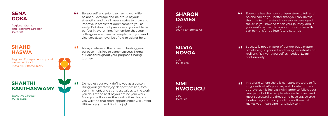#### **SENA GOKA**

Regional Grants and Programs Director JA Africa

> **CEO** JA Mexico

#### **SHARON DAVIES**

CEO Young Enterprise UK

**SILVIA** 

**CEO** JA Africa

**NOVOA**

#### **SHANTHI KANTHASWAMY**

Executive Director JA Malaysia

## **SIMI NWOGUGU**

**11** Success is not a matter of gender but a matter of believing in yourself and being persistent an resilient. Reinvent yourself as needed. Learn of believing in yourself and being persistent and resilient. Reinvent yourself as needed. Learn continuously.

Do not let your work define you as a person. Bring your greatest joy, deepest passion, total commitment, and strongest values to the work you do. Let the best of you define your work. Soon you will evolve, the work will evolve, and you will find that more opportunities will unfold. Ultimately, you will find the joy!

In a world where there is constant pressure to fit<br>in, go with what's popular, and do what others<br>approve of, it is increasingly harder to follow your in, go with what's popular, and do what others approve of, it is increasingly harder to follow your own path. But the people who are happiest and most successful are those who have stayed true to who they are. Find your true north—what makes your heart sing—and stick to it.

- **66** Be yourself and prioritize having work-life balance. Leverage and be proud of your strengths, and by all means strive to grow balance. Leverage and be proud of your strengths, and by all means strive to grow and improve in areas that don't come to you as easily. But don't put pressure on yourself to be perfect in everything. Remember that your colleagues are there to complement you (and vice-versa), so never be afraid to ask for help.
- Always believe in the power of finding your purpose—it is key to career success. Remain curious throughout your purpose-finding journey! **"**

Everyone has their own unique story to tell, and no one can do you better than you can. Invest the time to understand how you've developed the skills you have so far on your journey, and in your next chapter, think about how those skills can be transferred into future settings.

**"**

**"**

#### **SHAHD HASWA**

Regional Entrepreneurship and Innovation Lead INJAZ Al-Arab JA MENA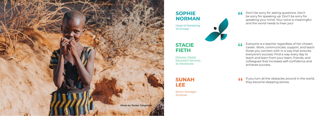#### **SOPHIE NORMAN**

Head of Marketing JA Europe

#### **STACIE FIETH**

Director, Global Education Services JA Worldwide

**SUNAH LEE**

Senior Manager JA Korea



Don't be sorry for asking questions. Don't be sorry for speaking up. Don't be sorry for speaking your mind. Your voice is meaningful and the world needs to hear you!

If you turn all the obstacles around in the world,<br>they become stepping stones. they become stepping stones.

Everyone is a teacher regardless of her chosen career. Work, communicate, support, and teach those you connect with in a way that ensures everyone's success. Find a way every day to teach and learn from your team, friends, and colleagues that increases self-confidence and achieves success.

**"**

**"**

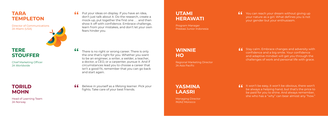#### **TARA TEMPLETON**

Director of Communications JA Miami (USA)



You can reach your dream without giving up your nature as a girl. What defines you is not your gender but your enthusiasm.

- There is no right or wrong career. There is only the one that's right for you. Whether you want to be an engineer, a writer, a welder, a teacher, a doctor, a CEO, or a carpenter, pursue it. And if circumstances lead you to choose a career that isn't a good fit, remember that you can go back and start again. **"**
- **f** Believe in yourself as a lifelong learner. Pick your fights. Take care of your best friends. fights. Take care of your best friends.

**16** Stay calm. Embrace changes and adversity with<br>confidence and a big smile. Your confidence<br>and adaptive mindset will get you through the confidence and a big smile. Your confidence and adaptive mindset will get you through the challenges of work and personal life with grace.

If won't be easy, it won't be obvious, there won't be always a helping hand, but that's the price to be paid for you to shine. And always remember, be always a helping hand, but that's the price to be paid for you to shine. And always remember, she who has a "why" can bear almost any "how."

#### **UTAMI HERAWATI**

Put your ideas on display. If you have an idea, don't just talk about it. Do the research, create a mock-up, put together the first one . . . and then show it off with confidence. Embrace challenge, learn from your mistakes, and don't let your own fears hinder you. **"**

Program Manager Prestasi Junior Indonesia

#### **WINNIE HO**

Regional Marketing Director JA Asia Pacific

**YASMINA LAASRI**

Managing Director INJAZ Morocco

**"**

### **TERE STOUFFER**

Chief Marketing Officer JA Worldwide

#### **TORILD MOHN**

Head of Learning Team JA Norway